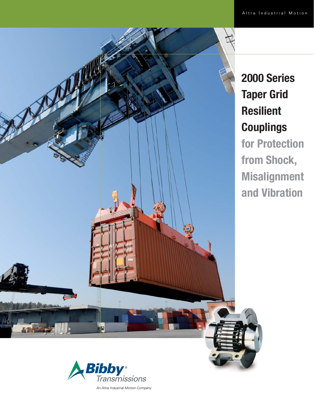

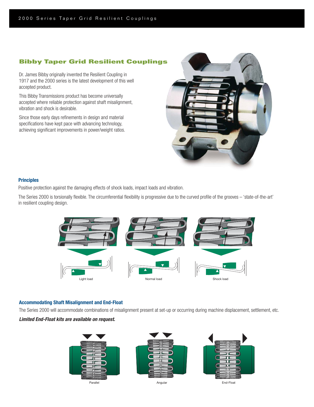# **Bibby Taper Grid Resilient Couplings**

Dr. James Bibby originally invented the Resilient Coupling in 1917 and the 2000 series is the latest development of this well accepted product.

This Bibby Transmissions product has become universally accepted where reliable protection against shaft misalignment, vibration and shock is desirable.

Since those early days refinements in design and material specifications have kept pace with advancing technology, achieving significant improvements in power/weight ratios.



### **Principles**

Positive protection against the damaging effects of shock loads, impact loads and vibration.

The Series 2000 is torsionally flexible. The circumferential flexibility is progressive due to the curved profile of the grooves - 'state-of-the-art' in resilient coupling design.



### **Accommodating Shaft Misalignment and End-Float**

The Series 2000 will accommodate combinations of misalignment present at set-up or occurring during machine displacement, settlement, etc.

# *Limited End-Float kits are available on request.*

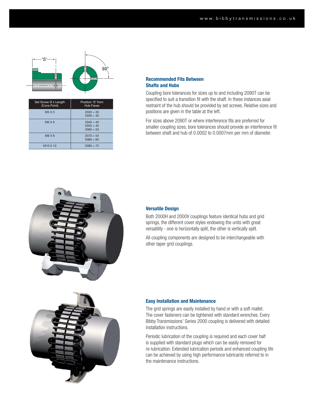

| Set Screw Ø x Length<br>(Cone Point) | Position 'S' from<br>Hub Faces            |
|--------------------------------------|-------------------------------------------|
| M <sub>5</sub> X <sub>5</sub>        | $2020 = 35$<br>$2030 = 40$                |
| M6X6                                 | $2040 = 40$<br>$2050 = 45$<br>$2060 = 53$ |
| M8 X 8                               | $2070 = 54$<br>$2080 = 65$                |
| M <sub>10</sub> X <sub>10</sub>      | $2090 = 72$                               |

### **Recommended Fits Between Shafts and Hubs**

Coupling bore tolerances for sizes up to and including 2090T can be specified to suit a transition fit with the shaft. In these instances axial restraint of the hub should be provided by set screws. Relative sizes and positions are given in the table at the left.

For sizes above 2090T or where interference fits are preferred for smaller coupling sizes, bore tolerances should provide an interference fit between shaft and hub of 0.0002 to 0.0007mm per mm of diameter.



### **Versatile Design**

Both 2000H and 2000V couplings feature identical hubs and grid springs, the different cover styles endowing the units with great versatility - one is horizontally split, the other is vertically split.

All coupling components are designed to be interchangeable with other taper grid couplings.



### **Easy Installation and Maintenance**

The grid springs are easily installed by hand or with a soft mallet. The cover fasteners can be tightened with standard wrenches. Every Bibby Transmissions' Series 2000 coupling is delivered with detailed installation instructions.

Periodic lubrication of the coupling is required and each cover half is supplied with standard plugs which can be easily removed for re-lubrication. Extended lubrication periods and enhanced coupling life can be achieved by using high performance lubricants referred to in the maintenance instructions.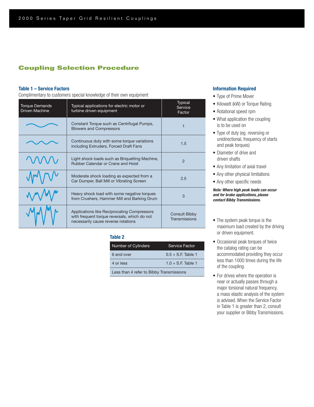# **Coupling Selection Procedure**

### **Table 1 – Service Factors**

Complimentary to customers special knowledge of their own equipment

| <b>Torque Demands</b><br><b>Driven Machine</b> | Typical applications for electric motor or<br>turbine driven equipment                                                             | <b>Typical</b><br>Service<br>Factor   |
|------------------------------------------------|------------------------------------------------------------------------------------------------------------------------------------|---------------------------------------|
|                                                | Constant Torque such as Centrifugal Pumps,<br><b>Blowers and Compressors</b>                                                       |                                       |
|                                                | Continuous duty with some torque variations<br>including Extruders, Forced Draft Fans                                              | 1.5                                   |
|                                                | Light shock loads such as Briquetting Machine,<br>Rubber Calendar or Crane and Hoist                                               | $\mathcal{P}$                         |
|                                                | Moderate shock loading as expected from a<br>Car Dumper, Ball Mill or Vibrating Screen                                             | 2.5                                   |
|                                                | Heavy shock load with some negative torques<br>from Crushers, Hammer Mill and Barking Drum                                         | 3                                     |
|                                                | Applications like Reciprocating Compressors<br>with frequent torque reversals, which do not<br>necessarily cause reverse rotations | <b>Consult Bibby</b><br>Transmissions |

### **Table 2**

| <b>Number of Cylinders</b>               | <b>Service Factor</b> |  |  |  |  |  |
|------------------------------------------|-----------------------|--|--|--|--|--|
| 6 and over                               | $0.5 + S.F.$ Table 1  |  |  |  |  |  |
| 4 or less                                | $1.0 + S.E$ Table 1   |  |  |  |  |  |
| Less than 4 refer to Bibby Transmissions |                       |  |  |  |  |  |

### **Information Required**

- Type of Prime Mover
- Kilowatt (kW) or Torque Rating
- Rotational speed rpm
- What application the coupling is to be used on
- Type of duty (eg. reversing or unidirectional, frequency of starts and peak torques)
- Diameter of drive and driven shafts
- Any limitation of axial travel
- Any other physical limitations
- Any other specific needs

### *Note: Where high peak loads can occur and for brake applications, please contact Bibby Transmissions.*

- The system peak torque is the maximum load created by the driving or driven equipment.
- Occasional peak torques of twice the catalog rating can be accommodated providing they occur less than 1000 times during the life of the coupling.
- For drives where the operation is near or actually passes through a major torsional natural frequency, a mass elastic analysis of the system is advised. When the Service Factor in Table 1 is greater than 2, consult your supplier or Bibby Transmissions.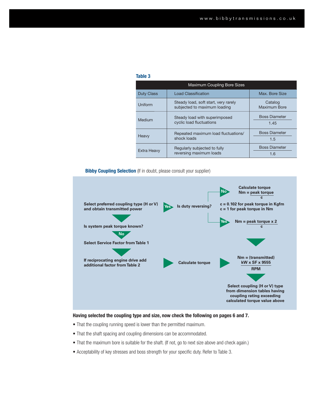### **Table 3**

| <b>Maximum Coupling Bore Sizes</b> |                                                                      |                              |  |  |  |  |  |  |
|------------------------------------|----------------------------------------------------------------------|------------------------------|--|--|--|--|--|--|
| <b>Duty Class</b>                  | <b>Load Classification</b>                                           | Max. Bore Size               |  |  |  |  |  |  |
| Uniform                            | Steady load, soft start, very rarely<br>subjected to maximum loading | Catalog<br>Maximum Bore      |  |  |  |  |  |  |
| Medium                             | Steady load with superimposed<br>cyclic load fluctuations            | <b>Boss Diameter</b><br>1.45 |  |  |  |  |  |  |
| Heavy                              | Repeated maximum load fluctuations/<br>shock loads                   | <b>Boss Diameter</b><br>1.5  |  |  |  |  |  |  |
| <b>Extra Heavy</b>                 | Regularly subjected to fully<br>reversing maximum loads              | <b>Boss Diameter</b><br>1.6  |  |  |  |  |  |  |

### **Bibby Coupling Selection** (If in doubt, please consult your supplier)



**Having selected the coupling type and size, now check the following on pages 6 and 7.**

- That the coupling running speed is lower than the permitted maximum.
- That the shaft spacing and coupling dimensions can be accommodated.
- That the maximum bore is suitable for the shaft. (If not, go to next size above and check again.)
- Acceptability of key stresses and boss strength for your specific duty. Refer to Table 3.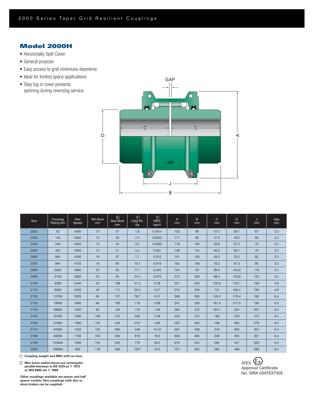# **Model 2000H**

- Horizontally Split Cover
- General purpose
- Easy access to grid minimizes downtime
- Ideal for limited space applications
- Stop lug in cover prevents spinning during reversing service



| Size | Coupling<br>Rating Nm | Max<br>Speed | Min Bore<br>mm | $^{\circledR}$<br>Max Bore<br>mm | $\bigcirc$<br>Cplg Wt.<br>Kg | $\circled{0}$<br>MR2/<br>kgm2 | $\mathsf{A}$<br>mm | B.<br>mm | $\mathsf{C}$<br>mm | D<br>mm | J<br>mm | Gap<br>mm |
|------|-----------------------|--------------|----------------|----------------------------------|------------------------------|-------------------------------|--------------------|----------|--------------------|---------|---------|-----------|
| 2020 | 52                    | 4500         | 13             | 27                               | 1.8                          | 0.0014                        | 102                | 98       | 47.5               | 39.7    | 67      | 3.2       |
| 2030 | 149                   | 4500         | 13             | 35                               | 2.4                          | 0.0022                        | 111                | 98       | 47.5               | 49.2    | 68      | 3.2       |
| 2040 | 249                   | 4500         | 13             | 44                               | 3.2                          | 0.0033                        | 118                | 105      | 50.8               | 57.2    | 70      | 3.2       |
| 2050 | 435                   | 4500         | 13             | 51                               | 5.2                          | 0.007                         | 138                | 124      | 60.3               | 66.7    | 79      | 3.2       |
| 2060 | 684                   | 4350         | 19             | 57                               | 7.1                          | 0.012                         | 151                | 130      | 63.5               | 76.2    | 92      | 3.2       |
| 2070 | 994                   | 4125         | 19             | 68                               | 10.1                         | 0.018                         | 162                | 156      | 76.2               | 87.3    | 95      | 3.2       |
| 2080 | 2050                  | 3600         | 25             | 83                               | 17.7                         | 0.045                         | 194                | 181      | 88.9               | 104.8   | 116     | 3.2       |
| 2090 | 3730                  | 3600         | 25             | 95                               | 24.5                         | 0.079                         | 213                | 200      | 98.4               | 123.8   | 122     | 3.2       |
| 2100 | 6280                  | 2440         | 42             | 108                              | 41.3                         | 0.18                          | 251                | 246      | 102.6              | 142.1   | 156     | 4.8       |
| 2110 | 9320                  | 2250         | 42             | 117                              | 53.6                         | 0.27                          | 270                | 259      | 127                | 160.4   | 163     | 4.8       |
| 2120 | 13700                 | 2025         | 60             | 137                              | 78.7                         | 0.51                          | 308                | 305      | 149.2              | 179.4   | 192     | 6.4       |
| 2130 | 19900                 | 1800         | 66             | 165                              | 118                          | 0.99                          | 347                | 330      | 161.9              | 217.5   | 195     | 6.4       |
| 2140 | 28600                 | 1650         | 66             | 184                              | 176                          | 1.85                          | 384                | 375      | 184.1              | 254     | 201     | 6.4       |
| 2150 | 37000                 | 1500         | 108            | 215                              | 228                          | 3.49                          | 453                | 372      | 183                | 270     | 272     | 6.4       |
| 2160 | 51000                 | 1350         | 120            | 240                              | 310                          | 5.82                          | 502                | 402      | 198                | 305     | 278     | 6.4       |
| 2170 | 67800                 | 1225         | 135            | 280                              | 448                          | 10.42                         | 567                | 438      | 216                | 356     | 307     | 6.4       |
| 2180 | 94000                 | 1100         | 150            | 300                              | 619                          | 18.3                          | 630                | 484      | 239                | 394     | 321     | 6.4       |
| 2190 | 124000                | 1050         | 150            | 335                              | 776                          | 26.2                          | 676                | 524      | 260                | 437     | 325     | 6.4       |
| 2200 | 169000                | 900          | 178            | 360                              | 1057                         | 43.5                          | 757                | 565      | 280                | 498     | 356     | $6.4\,$   |

1 **Coupling weight and MR2 with no bore**

2 **Max bores stated above use rectangular parallel keyways to BS 4235 pt 1: 1972 or DIN 6885 sht 1: 1969**

**Other couplings available are spacer and half spacer models. Also couplings with disc or drum brakes can be supplied.**

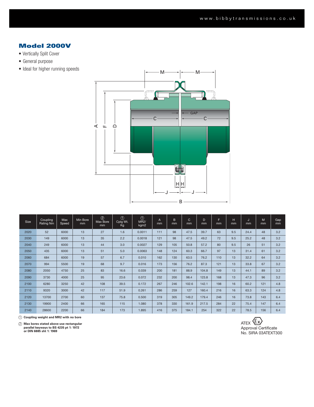# **Model 2000V**

- Vertically Split Cover
- General purpose
- Ideal for higher running speeds



| Size | <b>Coupling</b><br>Rating Nm | Max<br>Speed | Min Bore<br><sub>mm</sub> | $^{\circledR}$<br>Max Bore<br><sub>mm</sub> | $\circledD$<br>Cplg Wt.<br>Kg | $\odot$<br><b>MR2/</b><br>kgm2 | $\overline{A}$<br>mm | B.<br>mm | $\mathsf{C}$<br>mm | D<br>mm | Ë<br>mm | н<br>mm | J<br>mm | M<br><sub>mm</sub> | Gap<br><sub>mm</sub> |
|------|------------------------------|--------------|---------------------------|---------------------------------------------|-------------------------------|--------------------------------|----------------------|----------|--------------------|---------|---------|---------|---------|--------------------|----------------------|
| 2020 | 52                           | 6000         | 13                        | 27                                          | 1.6                           | 0.0011                         | 111                  | 98       | 47.5               | 39.7    | 63      | 9.5     | 24.4    | 48                 | 3.2                  |
| 2030 | 149                          | 6000         | 13                        | 35                                          | 2.2                           | 0.0018                         | 121                  | 98       | 47.5               | 49.2    | 72      | 9.5     | 25.2    | 48                 | 3.2                  |
| 2040 | 249                          | 6000         | 13                        | 44                                          | 3.0                           | 0.0027                         | 129                  | 105      | 50.8               | 57.2    | 80      | 9.5     | 26      | 51                 | 3.2                  |
| 2050 | 435                          | 6000         | 13                        | 51                                          | 5.0                           | 0.0063                         | 148                  | 124      | 60.3               | 66.7    | 97      | 13      | 31.4    | 61                 | 3.2                  |
| 2060 | 684                          | 6000         | 19                        | 57                                          | 6.7                           | 0.010                          | 162                  | 130      | 63.5               | 76.2    | 110     | 13      | 32.2    | 64                 | 3.2                  |
| 2070 | 994                          | 5500         | 19                        | 68                                          | 9.7                           | 0.016                          | 173                  | 156      | 76.2               | 87.3    | 121     | 13      | 33.8    | 67                 | 3.2                  |
| 2080 | 2050                         | 4750         | 25                        | 83                                          | 16.6                          | 0.039                          | 200                  | 181      | 88.9               | 104.8   | 149     | 13      | 44.1    | 89                 | 3.2                  |
| 2090 | 3730                         | 4000         | 25                        | 95                                          | 23.6                          | 0.072                          | 232                  | 200      | 98.4               | 123.8   | 168     | 13      | 47.3    | 96                 | 3.2                  |
| 2100 | 6280                         | 3250         | 42                        | 108                                         | 39.5                          | 0.172                          | 267                  | 246      | 102.6              | 142.1   | 198     | 16      | 60.2    | 121                | 4.8                  |
| 2110 | 9320                         | 3000         | 42                        | 117                                         | 51.9                          | 0.261                          | 286                  | 259      | 127                | 160.4   | 216     | 16      | 63.3    | 124                | 4.8                  |
| 2120 | 13700                        | 2700         | 60                        | 137                                         | 75.8                          | 0.500                          | 319                  | 305      | 149.2              | 179.4   | 246     | 16      | 73.8    | 143                | 6.4                  |
| 2130 | 19900                        | 2400         | 66                        | 165                                         | 115                           | 1.080                          | 378                  | 330      | 161.9              | 217.5   | 284     | 22      | 75.4    | 147                | 6.4                  |
| 2140 | 28600                        | 2200         | 66                        | 184                                         | 173                           | 1.895                          | 416                  | 375      | 184.1              | 254     | 322     | 22      | 78.5    | 156                | 6.4                  |

1 **Coupling weight and MR2 with no bore**

2 **Max bores stated above use rectangular parallel keyways to BS 4235 pt 1: 1972 or DIN 6885 sht 1: 1969**